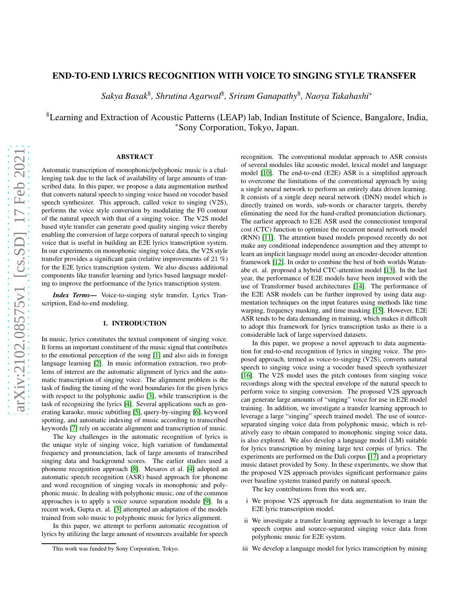# END-TO-END LYRICS RECOGNITION WITH VOICE TO SINGING STYLE TRANSFER

*Sakya Basak*\$ *, Shrutina Agarwal*\$ *, Sriram Ganapathy*\$ *, Naoya Takahashi*<sup>∗</sup>

\$Learning and Extraction of Acoustic Patterns (LEAP) lab, Indian Institute of Science, Bangalore, India, <sup>∗</sup>Sony Corporation, Tokyo, Japan.

## ABSTRACT

Automatic transcription of monophonic/polyphonic music is a challenging task due to the lack of availability of large amounts of transcribed data. In this paper, we propose a data augmentation method that converts natural speech to singing voice based on vocoder based speech synthesizer. This approach, called voice to singing (V2S), performs the voice style conversion by modulating the F0 contour of the natural speech with that of a singing voice. The V2S model based style transfer can generate good quality singing voice thereby enabling the conversion of large corpora of natural speech to singing voice that is useful in building an E2E lyrics transcription system. In our experiments on monophonic singing voice data, the V2S style transfer provides a significant gain (relative improvements of 21 %) for the E2E lyrics transcription system. We also discuss additional components like transfer learning and lyrics based language modeling to improve the performance of the lyrics transcription system.

*Index Terms*— Voice-to-singing style transfer, Lyrics Transcription, End-to-end modeling.

## 1. INTRODUCTION

In music, lyrics constitutes the textual component of singing voice. It forms an important constituent of the music signal that contributes to the emotional perception of the song [\[1\]](#page-4-0) and also aids in foreign language learning [\[2\]](#page-4-1). In music information extraction, two problems of interest are the automatic alignment of lyrics and the automatic transcription of singing voice. The alignment problem is the task of finding the timing of the word boundaries for the given lyrics with respect to the polyphonic audio [\[3\]](#page-4-2), while transcription is the task of recognizing the lyrics [\[4\]](#page-4-3). Several applications such as generating karaoke, music subtitling [\[5\]](#page-4-4), query-by-singing [\[6\]](#page-4-5), keyword spotting, and automatic indexing of music according to transcribed keywords [\[7\]](#page-4-6) rely on accurate alignment and transcription of music.

The key challenges in the automatic recognition of lyrics is the unique style of singing voice, high variation of fundamental frequency and pronunciation, lack of large amounts of transcribed singing data and background scores. The earlier studies used a phoneme recognition approach [\[8\]](#page-4-7). Mesaros et al. [\[4\]](#page-4-3) adopted an automatic speech recognition (ASR) based approach for phoneme and word recognition of singing vocals in monophonic and polyphonic music. In dealing with polyphonic music, one of the common approaches is to apply a voice source separation module [\[9\]](#page-4-8). In a recent work, Gupta et. al. [\[3\]](#page-4-2) attempted an adaptation of the models trained from solo music to polyphonic music for lyrics alignment.

In this paper, we attempt to perform automatic recognition of lyrics by utilizing the large amount of resources available for speech

recognition. The conventional modular approach to ASR consists of several modules like acoustic model, lexical model and language model [\[10\]](#page-4-9). The end-to-end (E2E) ASR is a simplified approach to overcome the limitations of the conventional approach by using a single neural network to perform an entirely data driven learning. It consists of a single deep neural network (DNN) model which is directly trained on words, sub-words or character targets, thereby eliminating the need for the hand-crafted pronunciation dictionary. The earliest approach to E2E ASR used the connectionist temporal cost (CTC) function to optimize the recurrent neural network model (RNN) [\[11\]](#page-4-10). The attention based models proposed recently do not make any conditional independence assumption and they attempt to learn an implicit language model using an encoder-decoder attention framework [\[12\]](#page-4-11). In order to combine the best of both worlds Watanabe et. al. proposed a hybrid CTC-attention model [\[13\]](#page-4-12). In the last year, the performance of E2E models have been improved with the use of Transformer based architectures [\[14\]](#page-4-13). The performance of the E2E ASR models can be further improved by using data augmentation techniques on the input features using methods like time warping, frequency masking, and time masking [\[15\]](#page-4-14). However, E2E ASR tends to be data demanding in training, which makes it difficult to adopt this framework for lyrics transcription tasks as there is a considerable lack of large supervised datasets.

In this paper, we propose a novel approach to data augmentation for end-to-end recognition of lyrics in singing voice. The proposed approach, termed as voice-to-singing (V2S), converts natural speech to singing voice using a vocoder based speech synthesizer [\[16\]](#page-4-15). The V2S model uses the pitch contours from singing voice recordings along with the spectral envelope of the natural speech to perform voice to singing conversion. The proposed V2S approach can generate large amounts of "singing" voice for use in E2E model training. In addition, we investigate a transfer learning approach to leverage a large "singing" speech trained model. The use of sourceseparated singing voice data from polyphonic music, which is relatively easy to obtain compared to monophonic singing voice data, is also explored. We also develop a language model (LM) suitable for lyrics transcription by mining large text corpus of lyrics. The experiments are performed on the Dali corpus [\[17\]](#page-4-16) and a proprietary music dataset provided by Sony. In these experiments, we show that the proposed V2S approach provides significant performance gains over baseline systems trained purely on natural speech.

The key contributions from this work are,

- i We propose V2S approach for data augmentation to train the E2E lyric transcription model.
- ii We investigate a transfer learning approach to leverage a large speech corpus and source-separated singing voice data from polyphonic music for E2E system.
- iii We develop a language model for lyrics transcription by mining

This work was funded by Sony Corporation, Tokyo.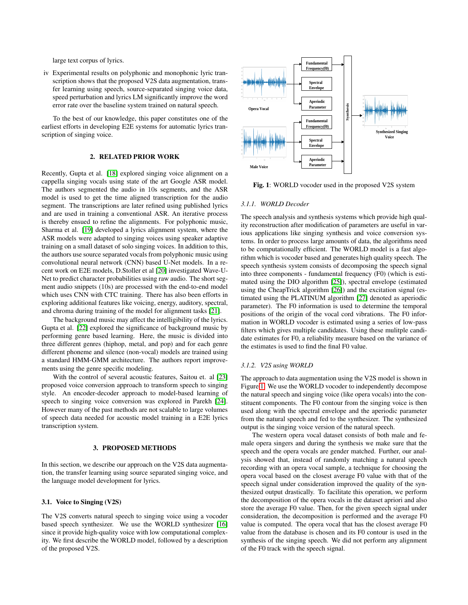large text corpus of lyrics.

iv Experimental results on polyphonic and monophonic lyric transcription shows that the proposed V2S data augmentation, transfer learning using speech, source-separated singing voice data, speed perturbation and lyrics LM significantly improve the word error rate over the baseline system trained on natural speech.

To the best of our knowledge, this paper constitutes one of the earliest efforts in developing E2E systems for automatic lyrics transcription of singing voice.

## 2. RELATED PRIOR WORK

Recently, Gupta et al. [\[18\]](#page-4-17) explored singing voice alignment on a cappella singing vocals using state of the art Google ASR model. The authors segmented the audio in 10s segments, and the ASR model is used to get the time aligned transcription for the audio segment. The transcriptions are later refined using published lyrics and are used in training a conventional ASR. An iterative process is thereby ensued to refine the alignments. For polyphonic music, Sharma et al. [\[19\]](#page-4-18) developed a lyrics alignment system, where the ASR models were adapted to singing voices using speaker adaptive training on a small dataset of solo singing voices. In addition to this, the authors use source separated vocals from polyphonic music using convolutional neural network (CNN) based U-Net models. In a recent work on E2E models, D.Stoller et al [\[20\]](#page-4-19) investigated Wave-U-Net to predict character probabilities using raw audio. The short segment audio snippets (10s) are processed with the end-to-end model which uses CNN with CTC training. There has also been efforts in exploring additional features like voicing, energy, auditory, spectral, and chroma during training of the model for alignment tasks [\[21\]](#page-4-20).

The background music may affect the intelligibility of the lyrics. Gupta et al. [\[22\]](#page-4-21) explored the significance of background music by performing genre based learning. Here, the music is divided into three different genres (hiphop, metal, and pop) and for each genre different phoneme and silence (non-vocal) models are trained using a standard HMM-GMM architecture. The authors report improvements using the genre specific modeling.

With the control of several acoustic features, Saitou et. al [\[23\]](#page-4-22) proposed voice conversion approach to transform speech to singing style. An encoder-decoder approach to model-based learning of speech to singing voice conversion was explored in Parekh [\[24\]](#page-4-23). However many of the past methods are not scalable to large volumes of speech data needed for acoustic model training in a E2E lyrics transcription system.

#### 3. PROPOSED METHODS

In this section, we describe our approach on the V2S data augmentation, the transfer learning using source separated singing voice, and the language model development for lyrics.

## 3.1. Voice to Singing (V2S)

The V2S converts natural speech to singing voice using a vocoder based speech synthesizer. We use the WORLD synthesizer [\[16\]](#page-4-15) since it provide high-quality voice with low computational complexity. We first describe the WORLD model, followed by a description of the proposed V2S.

<span id="page-1-0"></span>

Fig. 1: WORLD vocoder used in the proposed V2S system

### *3.1.1. WORLD Decoder*

The speech analysis and synthesis systems which provide high quality reconstruction after modification of parameters are useful in various applications like singing synthesis and voice conversion systems. In order to process large amounts of data, the algorithms need to be computationally efficient. The WORLD model is a fast algorithm which is vocoder based and generates high quality speech. The speech synthesis system consists of decomposing the speech signal into three components - fundamental frequency (F0) (which is estimated using the DIO algorithm [\[25\]](#page-4-24)), spectral envelope (estimated using the CheapTrick algorithm [\[26\]](#page-4-25)) and the excitation signal (estimated using the PLATINUM algorithm [\[27\]](#page-4-26) denoted as aperiodic parameter). The F0 information is used to determine the temporal positions of the origin of the vocal cord vibrations. The F0 information in WORLD vocoder is estimated using a series of low-pass filters which gives multiple candidates. Using these mulitple candidate estimates for F0, a reliability measure based on the variance of the estimates is used to find the final F0 value.

## *3.1.2. V2S using WORLD*

The approach to data augmentation using the V2S model is shown in Figure [1.](#page-1-0) We use the WORLD vocoder to independently decompose the natural speech and singing voice (like opera vocals) into the constituent components. The F0 contour from the singing voice is then used along with the spectral envelope and the aperiodic parameter from the natural speech and fed to the synthesizer. The synthesized output is the singing voice version of the natural speech.

The western opera vocal dataset consists of both male and female opera singers and during the synthesis we make sure that the speech and the opera vocals are gender matched. Further, our analysis showed that, instead of randomly matching a natural speech recording with an opera vocal sample, a technique for choosing the opera vocal based on the closest average F0 value with that of the speech signal under consideration improved the quality of the synthesized output drastically. To facilitate this operation, we perform the decomposition of the opera vocals in the dataset apriori and also store the average F0 value. Then, for the given speech signal under consideration, the decomposition is performed and the average F0 value is computed. The opera vocal that has the closest average F0 value from the database is chosen and its F0 contour is used in the synthesis of the singing speech. We did not perform any alignment of the F0 track with the speech signal.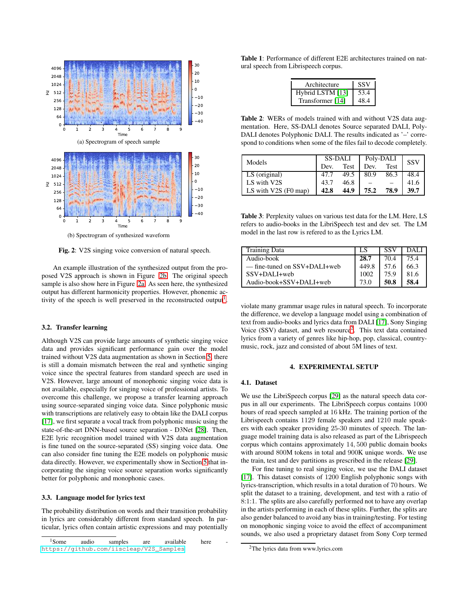<span id="page-2-0"></span>

(b) Spectrogram of synthesized waveform

Fig. 2: V2S singing voice conversion of natural speech.

An example illustration of the synthesized output from the proposed V2S approach is shown in Figure [2b.](#page-2-0) The original speech sample is also show here in Figure [2a.](#page-2-0) As seen here, the synthesized output has different harmonicity properties. However, phonemic ac-tivity of the speech is well preserved in the reconstructed output<sup>[1](#page-2-1)</sup>.

### 3.2. Transfer learning

Although V2S can provide large amounts of synthetic singing voice data and provides significant performance gain over the model trained without V2S data augmentation as shown in Section [5,](#page-3-0) there is still a domain mismatch between the real and synthetic singing voice since the spectral features from standard speech are used in V2S. However, large amount of monophonic singing voice data is not available, especially for singing voice of professional artists. To overcome this challenge, we propose a transfer learning approach using source-separated singing voice data. Since polyphonic music with transcriptions are relatively easy to obtain like the DALI corpus [\[17\]](#page-4-16), we first separate a vocal track from polyphonic music using the state-of-the-art DNN-based source separation - D3Net [\[28\]](#page-4-27). Then, E2E lyric recognition model trained with V2S data augmentation is fine tuned on the source-separated (SS) singing voice data. One can also consider fine tuning the E2E models on polyphonic music data directly. However, we experimentally show in Section [5](#page-3-0) that incorporating the singing voice source separation works significantly better for polyphonic and monophonic cases.

#### <span id="page-2-3"></span>3.3. Language model for lyrics text

The probability distribution on words and their transition probability in lyrics are considerably different from standard speech. In particular, lyrics often contain artistic expressions and may potentially

<span id="page-2-4"></span>Table 1: Performance of different E2E architectures trained on natural speech from Librispeech corpus.

| Architecture     | <b>SSV</b> |  |  |  |
|------------------|------------|--|--|--|
| Hybrid LSTM [13] | 53.4       |  |  |  |
| Transformer [14] | 48.4       |  |  |  |

<span id="page-2-5"></span>Table 2: WERs of models trained with and without V2S data augmentation. Here, SS-DALI denotes Source separated DALI, Poly-DALI denotes Polyphonic DALI. The results indicated as '–' correspond to conditions when some of the files fail to decode completely.

| Models                 | <b>SS-DALI</b> |      | Poly-DALI | SSV  |      |
|------------------------|----------------|------|-----------|------|------|
|                        | Dev.           | Test | Dev.      | Test |      |
| LS (original)          | 47.7           | 49.5 | 80.9      | 86.3 | 48.4 |
| LS with V2S            | 43.7           | 46.8 |           |      | 41.6 |
| LS with $V2S$ (F0 map) | 42.8           | 44.9 | 75.2      | 78.9 | 39.7 |

<span id="page-2-6"></span>Table 3: Perplexity values on various test data for the LM. Here, LS refers to audio-books in the LibriSpeech test and dev set. The LM model in the last row is refered to as the Lyrics LM.

| <b>Training Data</b>         |       | <b>SSV</b> | DALI. |
|------------------------------|-------|------------|-------|
| Audio-book                   | 28.7  | 70.4       | 75.4  |
| — fine-tuned on SSV+DALI+web | 449.8 | 57.6       | 66.3  |
| SSV+DALI+web                 | 1002  | 75.9       | 81.6  |
| Audio-book+SSV+DALI+web      | 73 O  | 50.8       | 58.4  |

violate many grammar usage rules in natural speech. To incorporate the difference, we develop a language model using a combination of text from audio-books and lyrics data from DALI [\[17\]](#page-4-16), Sony Singing Voice (SSV) dataset, and web resource<sup>[2](#page-2-2)</sup>. This text data contained lyrics from a variety of genres like hip-hop, pop, classical, countrymusic, rock, jazz and consisted of about 5M lines of text.

#### 4. EXPERIMENTAL SETUP

### 4.1. Dataset

We use the LibriSpeech corpus [\[29\]](#page-4-28) as the natural speech data corpus in all our experiments. The LibriSpeech corpus contains 1000 hours of read speech sampled at 16 kHz. The training portion of the Librispeech contains 1129 female speakers and 1210 male speakers with each speaker providing 25-30 minutes of speech. The language model training data is also released as part of the Librispeech corpus which contains approximately <sup>14</sup>, <sup>500</sup> public domain books with around 800M tokens in total and 900K unique words. We use the train, test and dev partitions as prescribed in the release [\[29\]](#page-4-28).

For fine tuning to real singing voice, we use the DALI dataset [\[17\]](#page-4-16). This dataset consists of 1200 English polyphonic songs with lyrics-transcription, which results in a total duration of 70 hours. We split the dataset to a training, development, and test with a ratio of 8:1:1. The splits are also carefully performed not to have any overlap in the artists performing in each of these splits. Further, the splits are also gender balanced to avoid any bias in training/testing. For testing on monophonic singing voice to avoid the effect of accompaniment sounds, we also used a proprietary dataset from Sony Corp termed

<span id="page-2-1"></span><sup>&</sup>lt;sup>1</sup>Some audio samples are available here [https://github.com/iiscleap/V2S\\_Samples](https://github.com/iiscleap/V2S_Samples)

<span id="page-2-2"></span><sup>2</sup>The lyrics data from www.lyrics.com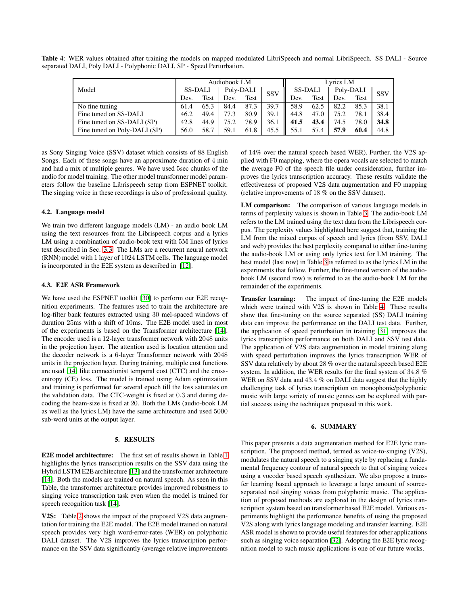<span id="page-3-1"></span>Table 4: WER values obtained after training the models on mapped modulated LibriSpeech and normal LibriSpeech. SS DALI - Source separated DALI, Poly DALI - Polyphonic DALI, SP - Speed Perturbation.

|                              | Audiobook LM |      |           |      | Lyrics LM  |         |      |           |      |            |
|------------------------------|--------------|------|-----------|------|------------|---------|------|-----------|------|------------|
| Model                        | SS-DALI      |      | Poly-DALI |      | <b>SSV</b> | SS-DALI |      | Poly-DALI |      | <b>SSV</b> |
|                              | Dev.         | Test | Dev.      | Test |            | Dev.    | Test | Dev.      | Test |            |
| No fine tuning               | 61.4         | 65.3 | 84.4      | 87.3 | 39.7       | 58.9    | 62.5 | 82.2      | 85.3 | 38.1       |
| Fine tuned on SS-DALI        | 46.2         | 49.4 | 77.3      | 80.9 | 39.1       | 44.8    | 47.0 | 75.2      | 78.1 | 38.4       |
| Fine tuned on SS-DALI (SP)   | 42.8         | 44.9 | 75.2      | 78.9 | 36.1       | 41.5    | 43.4 | 74.5      | 78.0 | 34.8       |
| Fine tuned on Poly-DALI (SP) | 56.0         | 58.7 | 59.1      | 61.8 | 45.5       | 55.1    | 57.4 | 57.9      | 60.4 | 44.8       |

as Sony Singing Voice (SSV) dataset which consists of 88 English Songs. Each of these songs have an approximate duration of 4 min and had a mix of multiple genres. We have used 5sec chunks of the audio for model training. The other model transformer model parameters follow the baseline Librispeech setup from ESPNET toolkit. The singing voice in these recordings is also of professional quality.

## 4.2. Language model

We train two different language models (LM) - an audio book LM using the text resources from the Librispeech corpus and a lyrics LM using a combination of audio-book text with 5M lines of lyrics text described in Sec. [3.3.](#page-2-3) The LMs are a recurrent neural network (RNN) model with 1 layer of 1024 LSTM cells. The language model is incorporated in the E2E system as described in [\[12\]](#page-4-11).

## 4.3. E2E ASR Framework

We have used the ESPNET toolkit [\[30\]](#page-4-29) to perform our E2E recognition experiments. The features used to train the architecture are log-filter bank features extracted using 30 mel-spaced windows of duration 25ms with a shift of 10ms. The E2E model used in most of the experiments is based on the Transformer architecture [\[14\]](#page-4-13). The encoder used is a 12-layer transformer network with 2048 units in the projection layer. The attention used is location attention and the decoder network is a 6-layer Transformer network with 2048 units in the projection layer. During training, multiple cost functions are used [\[14\]](#page-4-13) like connectionist temporal cost (CTC) and the crossentropy (CE) loss. The model is trained using Adam optimization and training is performed for several epoch till the loss saturates on the validation data. The CTC-weight is fixed at <sup>0</sup>.<sup>3</sup> and during decoding the beam-size is fixed at 20. Both the LMs (audio-book LM as well as the lyrics LM) have the same architecture and used 5000 sub-word units at the output layer.

### 5. RESULTS

<span id="page-3-0"></span>E2E model architecture: The first set of results shown in Table [1](#page-2-4) highlights the lyrics transcription results on the SSV data using the Hybrid LSTM E2E architecture [\[13\]](#page-4-12) and the transformer architecture [\[14\]](#page-4-13). Both the models are trained on natural speech. As seen in this Table, the transformer architecture provides improved robustness to singing voice transcription task even when the model is trained for speech recognition task [\[14\]](#page-4-13).

V2S: Table [2](#page-2-5) shows the impact of the proposed V2S data augmentation for training the E2E model. The E2E model trained on natural speech provides very high word-error-rates (WER) on polyphonic DALI dataset. The V2S improves the lyrics transcription performance on the SSV data significantly (average relative improvements of 14% over the natural speech based WER). Further, the V2S applied with F0 mapping, where the opera vocals are selected to match the average F0 of the speech file under consideration, further improves the lyrics transcription accuracy. These results validate the effectiveness of proposed V2S data augmentation and F0 mapping (relative improvements of 18 % on the SSV dataset).

LM comparison: The comparison of various language models in terms of perplexity values is shown in Table [3.](#page-2-6) The audio-book LM refers to the LM trained using the text data from the Librispeech corpus. The perplexity values highlighted here suggest that, training the LM from the mixed corpus of speech and lyrics (from SSV, DALI and web) provides the best perplexity compared to either fine-tuning the audio-book LM or using only lyrics text for LM training. The best model (last row) in Table [3](#page-2-6) is referred to as the lyrics LM in the experiments that follow. Further, the fine-tuned version of the audiobook LM (second row) is referred to as the audio-book LM for the remainder of the experiments.

Transfer learning: The impact of fine-tuning the E2E models which were trained with V2S is shown in Table [4.](#page-3-1) These results show that fine-tuning on the source separated (SS) DALI training data can improve the performance on the DALI test data. Further, the application of speed perturbation in training [\[31\]](#page-4-30) improves the lyrics transcription performance on both DALI and SSV test data. The application of V2S data augmentation in model training along with speed perturbation improves the lyrics transcription WER of SSV data relatively by about 28 % over the natural speech based E2E system. In addition, the WER results for the final system of <sup>34</sup>.<sup>8</sup> % WER on SSV data and 43.4 % on DALI data suggest that the highly challenging task of lyrics transcription on monophonic/polyphonic music with large variety of music genres can be explored with partial success using the techniques proposed in this work.

#### 6. SUMMARY

This paper presents a data augmentation method for E2E lyric transcription. The proposed method, termed as voice-to-singing (V2S), modulates the natural speech to a singing style by replacing a fundamental frequency contour of natural speech to that of singing voices using a vocoder based speech synthesizer. We also propose a transfer learning based approach to leverage a large amount of sourceseparated real singing voices from polyphonic music. The application of proposed methods are explored in the design of lyrics transcription system based on transformer based E2E model. Various experiments highlight the performance benefits of using the proposed V2S along with lyrics language modeling and transfer learning. E2E ASR model is shown to provide useful features for other applications such as singing voice separation [\[32\]](#page-4-31). Adopting the E2E lyric recognition model to such music applications is one of our future works.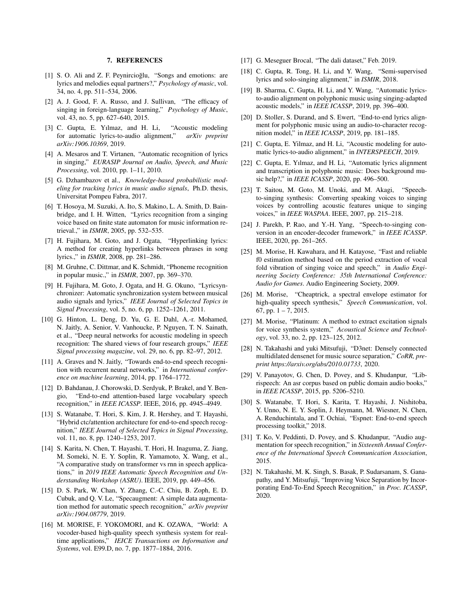## 7. REFERENCES

- <span id="page-4-0"></span>[1] S. O. Ali and Z. F. Peynircioğlu, "Songs and emotions: are lyrics and melodies equal partners?," *Psychology of music*, vol. 34, no. 4, pp. 511–534, 2006.
- <span id="page-4-1"></span>[2] A. J. Good, F. A. Russo, and J. Sullivan, "The efficacy of singing in foreign-language learning," *Psychology of Music*, vol. 43, no. 5, pp. 627–640, 2015.
- <span id="page-4-2"></span>[3] C. Gupta, E. Yılmaz, and H. Li, "Acoustic modeling for automatic lyrics-to-audio alignment," *arXiv preprint arXiv:1906.10369*, 2019.
- <span id="page-4-3"></span>[4] A. Mesaros and T. Virtanen, "Automatic recognition of lyrics in singing," *EURASIP Journal on Audio, Speech, and Music Processing*, vol. 2010, pp. 1–11, 2010.
- <span id="page-4-4"></span>[5] G. Dzhambazov et al., *Knowledge-based probabilistic modeling for tracking lyrics in music audio signals*, Ph.D. thesis, Universitat Pompeu Fabra, 2017.
- <span id="page-4-5"></span>[6] T. Hosoya, M. Suzuki, A. Ito, S. Makino, L. A. Smith, D. Bainbridge, and I. H. Witten, "Lyrics recognition from a singing voice based on finite state automaton for music information retrieval.," in *ISMIR*, 2005, pp. 532–535.
- <span id="page-4-6"></span>[7] H. Fujihara, M. Goto, and J. Ogata, "Hyperlinking lyrics: A method for creating hyperlinks between phrases in song lyrics.," in *ISMIR*, 2008, pp. 281–286.
- <span id="page-4-7"></span>[8] M. Gruhne, C. Dittmar, and K. Schmidt, "Phoneme recognition" in popular music.," in *ISMIR*, 2007, pp. 369–370.
- <span id="page-4-8"></span>[9] H. Fujihara, M. Goto, J. Ogata, and H. G. Okuno, "Lyricsynchronizer: Automatic synchronization system between musical audio signals and lyrics," *IEEE Journal of Selected Topics in Signal Processing*, vol. 5, no. 6, pp. 1252–1261, 2011.
- <span id="page-4-9"></span>[10] G. Hinton, L. Deng, D. Yu, G. E. Dahl, A.-r. Mohamed, N. Jaitly, A. Senior, V. Vanhoucke, P. Nguyen, T. N. Sainath, et al., "Deep neural networks for acoustic modeling in speech recognition: The shared views of four research groups," *IEEE Signal processing magazine*, vol. 29, no. 6, pp. 82–97, 2012.
- <span id="page-4-10"></span>[11] A. Graves and N. Jaitly, "Towards end-to-end speech recognition with recurrent neural networks," in *International conference on machine learning*, 2014, pp. 1764–1772.
- <span id="page-4-11"></span>[12] D. Bahdanau, J. Chorowski, D. Serdyuk, P. Brakel, and Y. Bengio, "End-to-end attention-based large vocabulary speech recognition," in *IEEE ICASSP*. IEEE, 2016, pp. 4945–4949.
- <span id="page-4-12"></span>[13] S. Watanabe, T. Hori, S. Kim, J. R. Hershey, and T. Hayashi, "Hybrid ctc/attention architecture for end-to-end speech recognition," *IEEE Journal of Selected Topics in Signal Processing*, vol. 11, no. 8, pp. 1240–1253, 2017.
- <span id="page-4-13"></span>[14] S. Karita, N. Chen, T. Hayashi, T. Hori, H. Inaguma, Z. Jiang, M. Someki, N. E. Y. Soplin, R. Yamamoto, X. Wang, et al., "A comparative study on transformer vs rnn in speech applications," in *2019 IEEE Automatic Speech Recognition and Understanding Workshop (ASRU)*. IEEE, 2019, pp. 449–456.
- <span id="page-4-14"></span>[15] D. S. Park, W. Chan, Y. Zhang, C.-C. Chiu, B. Zoph, E. D. Cubuk, and Q. V. Le, "Specaugment: A simple data augmentation method for automatic speech recognition," *arXiv preprint arXiv:1904.08779*, 2019.
- <span id="page-4-15"></span>[16] M. MORISE, F. YOKOMORI, and K. OZAWA, "World: A vocoder-based high-quality speech synthesis system for realtime applications," *IEICE Transactions on Information and Systems*, vol. E99.D, no. 7, pp. 1877–1884, 2016.
- <span id="page-4-17"></span><span id="page-4-16"></span>[17] G. Meseguer Brocal, "The dali dataset," Feb. 2019.
- [18] C. Gupta, R. Tong, H. Li, and Y. Wang, "Semi-supervised lyrics and solo-singing alignment," in *ISMIR*, 2018.
- <span id="page-4-18"></span>[19] B. Sharma, C. Gupta, H. Li, and Y. Wang, "Automatic lyricsto-audio alignment on polyphonic music using singing-adapted acoustic models," in *IEEE ICASSP*, 2019, pp. 396–400.
- <span id="page-4-19"></span>[20] D. Stoller, S. Durand, and S. Ewert, "End-to-end lyrics alignment for polyphonic music using an audio-to-character recognition model," in *IEEE ICASSP*, 2019, pp. 181–185.
- <span id="page-4-20"></span>[21] C. Gupta, E. Yilmaz, and H. Li, "Acoustic modeling for automatic lyrics-to-audio alignment," in *INTERSPEECH*, 2019.
- <span id="page-4-21"></span>[22] C. Gupta, E. Yılmaz, and H. Li, "Automatic lyrics alignment and transcription in polyphonic music: Does background music help?," in *IEEE ICASSP*, 2020, pp. 496–500.
- <span id="page-4-22"></span>[23] T. Saitou, M. Goto, M. Unoki, and M. Akagi, "Speechto-singing synthesis: Converting speaking voices to singing voices by controlling acoustic features unique to singing voices," in *IEEE WASPAA*. IEEE, 2007, pp. 215–218.
- <span id="page-4-23"></span>[24] J. Parekh, P. Rao, and Y.-H. Yang, "Speech-to-singing conversion in an encoder-decoder framework," in *IEEE ICASSP*. IEEE, 2020, pp. 261–265.
- <span id="page-4-24"></span>[25] M. Morise, H. Kawahara, and H. Katayose, "Fast and reliable f0 estimation method based on the period extraction of vocal fold vibration of singing voice and speech," in *Audio Engineering Society Conference: 35th International Conference: Audio for Games*. Audio Engineering Society, 2009.
- <span id="page-4-25"></span>[26] M. Morise, "Cheaptrick, a spectral envelope estimator for high-quality speech synthesis," *Speech Communication*, vol. 67, pp. 1 – 7, 2015.
- <span id="page-4-26"></span>[27] M. Morise, "Platinum: A method to extract excitation signals for voice synthesis system," *Acoustical Science and Technology*, vol. 33, no. 2, pp. 123–125, 2012.
- <span id="page-4-27"></span>[28] N. Takahashi and yuki Mitsufuji, "D3net: Densely connected multidilated densenet for music source separation," *CoRR, preprint https://arxiv.org/abs/2010.01733*, 2020.
- <span id="page-4-28"></span>[29] V. Panayotov, G. Chen, D. Povey, and S. Khudanpur, "Librispeech: An asr corpus based on public domain audio books," in *IEEE ICASSP*, 2015, pp. 5206–5210.
- <span id="page-4-29"></span>[30] S. Watanabe, T. Hori, S. Karita, T. Hayashi, J. Nishitoba, Y. Unno, N. E. Y. Soplin, J. Heymann, M. Wiesner, N. Chen, A. Renduchintala, and T. Ochiai, "Espnet: End-to-end speech processing toolkit," 2018.
- <span id="page-4-30"></span>[31] T. Ko, V. Peddinti, D. Povey, and S. Khudanpur, "Audio augmentation for speech recognition," in *Sixteenth Annual Conference of the International Speech Communication Association*, 2015.
- <span id="page-4-31"></span>[32] N. Takahashi, M. K. Singh, S. Basak, P. Sudarsanam, S. Ganapathy, and Y. Mitsufuji, "Improving Voice Separation by Incorporating End-To-End Speech Recognition," in *Proc. ICASSP*, 2020.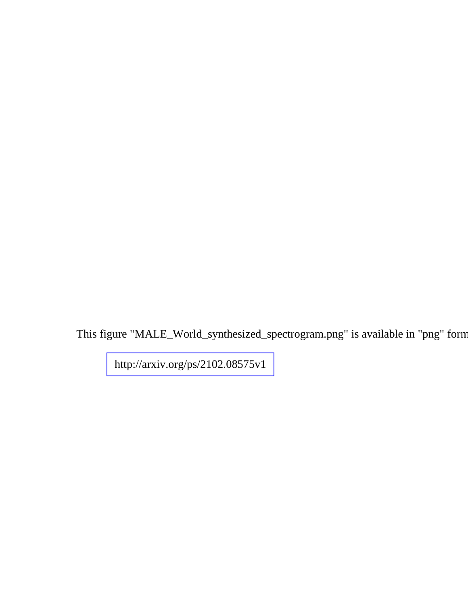This figure "MALE\_World\_synthesized\_spectrogram.png" is available in "png" forn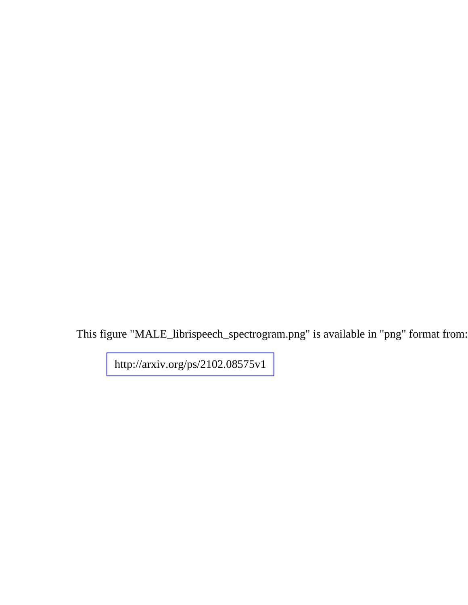This figure "MALE\_librispeech\_spectrogram.png" is available in "png" format from: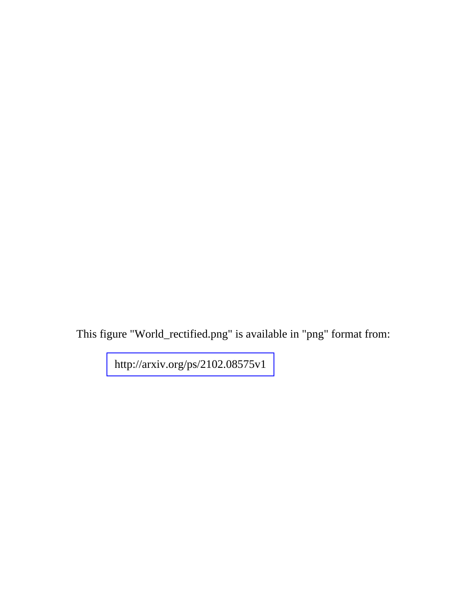This figure "World\_rectified.png" is available in "png" format from: